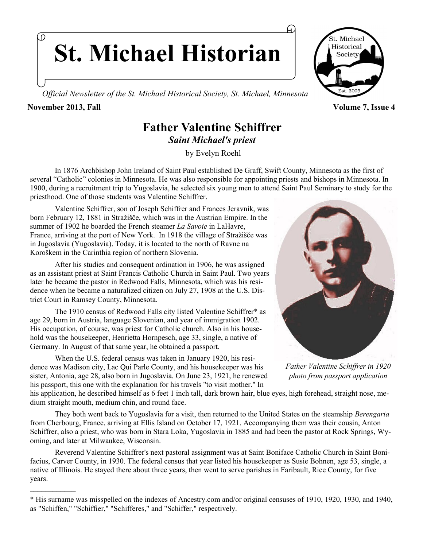**St. Michael Historian**

*Official Newsletter of the St. Michael Historical Society, St. Michael, Minnesota* 

### **November 2013, Fall Volume 7, Issue 4**

 $\mathcal{L}_\text{max}$ 

## **Father Valentine Schiffrer** *Saint Michael's priest*

by Evelyn Roehl

 In 1876 Archbishop John Ireland of Saint Paul established De Graff, Swift County, Minnesota as the first of several "Catholic" colonies in Minnesota. He was also responsible for appointing priests and bishops in Minnesota. In 1900, during a recruitment trip to Yugoslavia, he selected six young men to attend Saint Paul Seminary to study for the priesthood. One of those students was Valentine Schiffrer.

Valentine Schiffrer, son of Joseph Schiffrer and Frances Jeravnik, was born February 12, 1881 in Stražišče, which was in the Austrian Empire. In the summer of 1902 he boarded the French steamer *La Savoie* in LaHavre, France, arriving at the port of New York. In 1918 the village of Stražišče was in Jugoslavia (Yugoslavia). Today, it is located to the north of [Ravne na](http://en.wikipedia.org/wiki/Ravne_na_Koro%C5%A1kem)  [Koroškem i](http://en.wikipedia.org/wiki/Ravne_na_Koro%C5%A1kem)n the [Carinthia](http://en.wikipedia.org/wiki/Slovenian_Carinthia) region of northern [Slovenia.](http://en.wikipedia.org/wiki/Slovenia)

After his studies and consequent ordination in 1906, he was assigned as an assistant priest at Saint Francis Catholic Church in Saint Paul. Two years later he became the pastor in Redwood Falls, Minnesota, which was his residence when he became a naturalized citizen on July 27, 1908 at the U.S. District Court in Ramsey County, Minnesota.

The 1910 census of Redwood Falls city listed Valentine Schiffrer\* as age 29, born in Austria, language Slovenian, and year of immigration 1902. His occupation, of course, was priest for Catholic church. Also in his household was the housekeeper, Henrietta Hornpesch, age 33, single, a native of Germany. In August of that same year, he obtained a passport.

When the U.S. federal census was taken in January 1920, his residence was Madison city, Lac Qui Parle County, and his housekeeper was his sister, Antonia, age 28, also born in Jugoslavia. On June 23, 1921, he renewed his passport, this one with the explanation for his travels "to visit mother." In



*Father Valentine Schiffrer in 1920 photo from passport application*

his application, he described himself as 6 feet 1 inch tall, dark brown hair, blue eyes, high forehead, straight nose, medium straight mouth, medium chin, and round face.

They both went back to Yugoslavia for a visit, then returned to the United States on the steamship *Berengaria* from Cherbourg, France, arriving at Ellis Island on October 17, 1921. Accompanying them was their cousin, Anton Schiffrer, also a priest, who was born in Stara Loka, Yugoslavia in 1885 and had been the pastor at Rock Springs, Wyoming, and later at Milwaukee, Wisconsin.

Reverend Valentine Schiffrer's next pastoral assignment was at Saint Boniface Catholic Church in Saint Bonifacius, Carver County, in 1930. The federal census that year listed his housekeeper as Susie Bohnen, age 53, single, a native of Illinois. He stayed there about three years, then went to serve parishes in Faribault, Rice County, for five years.



<sup>\*</sup> His surname was misspelled on the indexes of Ancestry.com and/or original censuses of 1910, 1920, 1930, and 1940, as "Schiffen," "Schiffier," "Schifferes," and "Schiffer," respectively.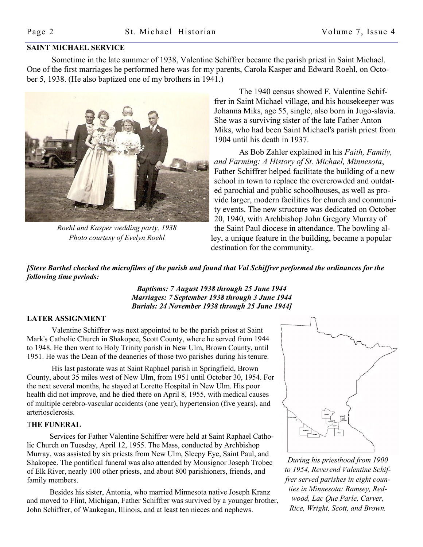#### **SAINT MICHAEL SERVICE**

 Sometime in the late summer of 1938, Valentine Schiffrer became the parish priest in Saint Michael. One of the first marriages he performed here was for my parents, Carola Kasper and Edward Roehl, on October 5, 1938. (He also baptized one of my brothers in 1941.)



*Roehl and Kasper wedding party, 1938 Photo courtesy of Evelyn Roehl*

The 1940 census showed F. Valentine Schiffrer in Saint Michael village, and his housekeeper was Johanna Miks, age 55, single, also born in Jugo-slavia. She was a surviving sister of the late Father Anton Miks, who had been Saint Michael's parish priest from 1904 until his death in 1937.

As Bob Zahler explained in his *Faith, Family, and Farming: A History of St. Michael, Minnesota*, Father Schiffrer helped facilitate the building of a new school in town to replace the overcrowded and outdated parochial and public schoolhouses, as well as provide larger, modern facilities for church and community events. The new structure was dedicated on October 20, 1940, with Archbishop John Gregory Murray of the Saint Paul diocese in attendance. The bowling alley, a unique feature in the building, became a popular destination for the community.

*[Steve Barthel checked the microfilms of the parish and found that Val Schiffrer performed the ordinances for the following time periods:* 

> *Baptisms: 7 August 1938 through 25 June 1944 Marriages: 7 September 1938 through 3 June 1944 Burials: 24 November 1938 through 25 June 1944]*

#### **LATER ASSIGNMENT**

Valentine Schiffrer was next appointed to be the parish priest at Saint Mark's Catholic Church in Shakopee, Scott County, where he served from 1944 to 1948. He then went to Holy Trinity parish in New Ulm, Brown County, until 1951. He was the Dean of the deaneries of those two parishes during his tenure.

His last pastorate was at Saint Raphael parish in Springfield, Brown County, about 35 miles west of New Ulm, from 1951 until October 30, 1954. For the next several months, he stayed at Loretto Hospital in New Ulm. His poor health did not improve, and he died there on April 8, 1955, with medical causes of multiple cerebro-vascular accidents (one year), hypertension (five years), and arteriosclerosis.

#### T**HE FUNERAL**

 Services for Father Valentine Schiffrer were held at Saint Raphael Catholic Church on Tuesday, April 12, 1955. The Mass, conducted by Archbishop Murray, was assisted by six priests from New Ulm, Sleepy Eye, Saint Paul, and Shakopee. The pontifical funeral was also attended by Monsignor Joseph Trobec of Elk River, nearly 100 other priests, and about 800 parishioners, friends, and family members.

 Besides his sister, Antonia, who married Minnesota native Joseph Kranz and moved to Flint, Michigan, Father Schiffrer was survived by a younger brother, John Schiffrer, of Waukegan, Illinois, and at least ten nieces and nephews.



*During his priesthood from 1900 to 1954, Reverend Valentine Schiffrer served parishes in eight counties in Minnesota: Ramsey, Redwood, Lac Que Parle, Carver, Rice, Wright, Scott, and Brown.*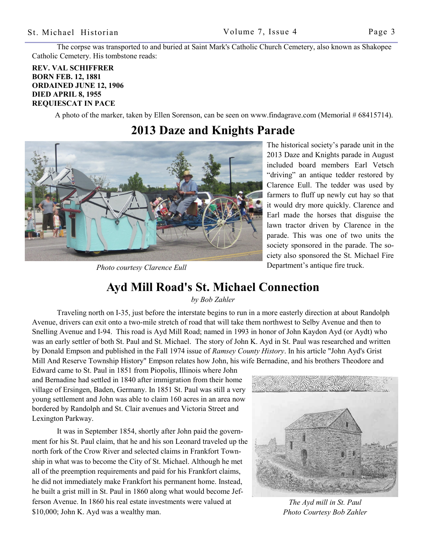The corpse was transported to and buried at Saint Mark's Catholic Church Cemetery, also known as Shakopee Catholic Cemetery. His tombstone reads:

#### **REV. VAL SCHIFFRER BORN FEB. 12, 1881 ORDAINED JUNE 12, 1906 DIED APRIL 8, 1955 REQUIESCAT IN PACE**

A photo of the marker, taken by Ellen Sorenson, can be seen on www.findagrave.com (Memorial # 68415714).

### **2013 Daze and Knights Parade**



*Photo courtesy Clarence Eull*

The historical society's parade unit in the 2013 Daze and Knights parade in August included board members Earl Vetsch "driving" an antique tedder restored by Clarence Eull. The tedder was used by farmers to fluff up newly cut hay so that it would dry more quickly. Clarence and Earl made the horses that disguise the lawn tractor driven by Clarence in the parade. This was one of two units the society sponsored in the parade. The society also sponsored the St. Michael Fire Department's antique fire truck.

## **Ayd Mill Road's St. Michael Connection**

*by Bob Zahler*

 Traveling north on I-35, just before the interstate begins to run in a more easterly direction at about Randolph Avenue, drivers can exit onto a two-mile stretch of road that will take them northwest to Selby Avenue and then to Snelling Avenue and I-94. This road is Ayd Mill Road; named in 1993 in honor of John Kaydon Ayd (or Aydt) who was an early settler of both St. Paul and St. Michael. The story of John K. Ayd in St. Paul was researched and written by Donald Empson and published in the Fall 1974 issue of *Ramsey County History*. In his article "John Ayd's Grist Mill And Reserve Township History" Empson relates how John, his wife Bernadine, and his brothers Theodore and

Edward came to St. Paul in 1851 from Piopolis, Illinois where John and Bernadine had settled in 1840 after immigration from their home village of Ersingen, Baden, Germany. In 1851 St. Paul was still a very young settlement and John was able to claim 160 acres in an area now bordered by Randolph and St. Clair avenues and Victoria Street and Lexington Parkway.

It was in September 1854, shortly after John paid the government for his St. Paul claim, that he and his son Leonard traveled up the north fork of the Crow River and selected claims in Frankfort Township in what was to become the City of St. Michael. Although he met all of the preemption requirements and paid for his Frankfort claims, he did not immediately make Frankfort his permanent home. Instead, he built a grist mill in St. Paul in 1860 along what would become Jefferson Avenue. In 1860 his real estate investments were valued at \$10,000; John K. Ayd was a wealthy man.



*The Ayd mill in St. Paul Photo Courtesy Bob Zahler*